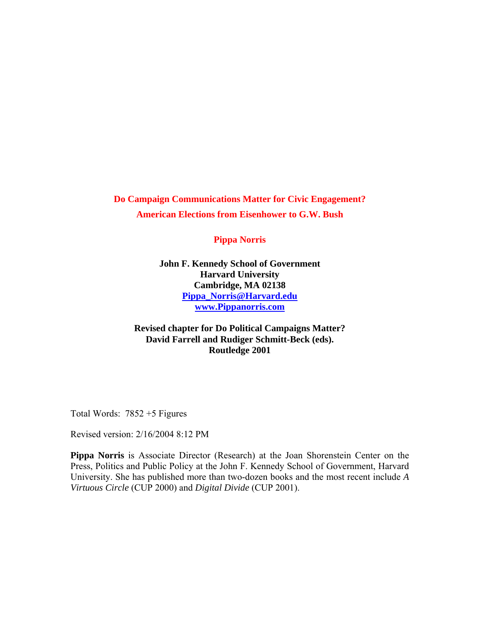**Do Campaign Communications Matter for Civic Engagement? American Elections from Eisenhower to G.W. Bush**

**Pippa Norris** 

**John F. Kennedy School of Government Harvard University Cambridge, MA 02138 Pippa\_Norris@Harvard.edu www.Pippanorris.com**

**Revised chapter for Do Political Campaigns Matter? David Farrell and Rudiger Schmitt-Beck (eds). Routledge 2001** 

Total Words: 7852 +5 Figures

Revised version: 2/16/2004 8:12 PM

**Pippa Norris** is Associate Director (Research) at the Joan Shorenstein Center on the Press, Politics and Public Policy at the John F. Kennedy School of Government, Harvard University. She has published more than two-dozen books and the most recent include *A Virtuous Circle* (CUP 2000) and *Digital Divide* (CUP 2001).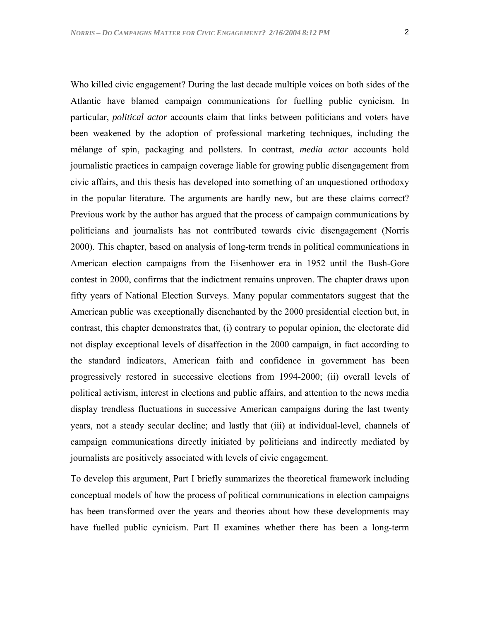Who killed civic engagement? During the last decade multiple voices on both sides of the Atlantic have blamed campaign communications for fuelling public cynicism. In particular, *political actor* accounts claim that links between politicians and voters have been weakened by the adoption of professional marketing techniques, including the mÈlange of spin, packaging and pollsters. In contrast, *media actor* accounts hold journalistic practices in campaign coverage liable for growing public disengagement from civic affairs, and this thesis has developed into something of an unquestioned orthodoxy in the popular literature. The arguments are hardly new, but are these claims correct? Previous work by the author has argued that the process of campaign communications by politicians and journalists has not contributed towards civic disengagement (Norris 2000). This chapter, based on analysis of long-term trends in political communications in American election campaigns from the Eisenhower era in 1952 until the Bush-Gore contest in 2000, confirms that the indictment remains unproven. The chapter draws upon fifty years of National Election Surveys. Many popular commentators suggest that the American public was exceptionally disenchanted by the 2000 presidential election but, in contrast, this chapter demonstrates that, (i) contrary to popular opinion, the electorate did not display exceptional levels of disaffection in the 2000 campaign, in fact according to the standard indicators, American faith and confidence in government has been progressively restored in successive elections from 1994-2000; (ii) overall levels of political activism, interest in elections and public affairs, and attention to the news media display trendless fluctuations in successive American campaigns during the last twenty years, not a steady secular decline; and lastly that (iii) at individual-level, channels of campaign communications directly initiated by politicians and indirectly mediated by journalists are positively associated with levels of civic engagement.

To develop this argument, Part I briefly summarizes the theoretical framework including conceptual models of how the process of political communications in election campaigns has been transformed over the years and theories about how these developments may have fuelled public cynicism. Part II examines whether there has been a long-term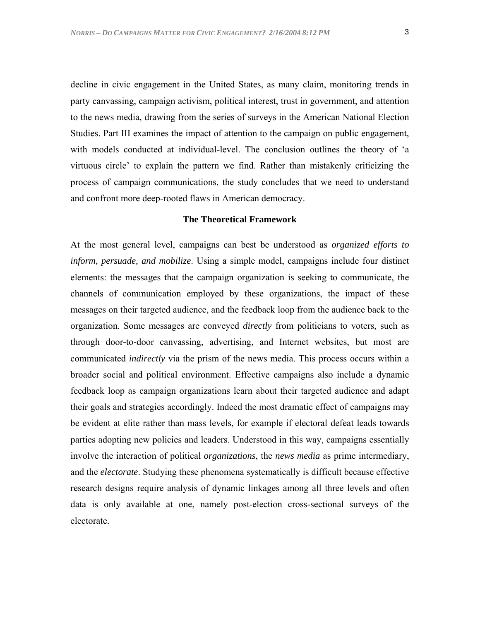decline in civic engagement in the United States, as many claim, monitoring trends in party canvassing, campaign activism, political interest, trust in government, and attention to the news media, drawing from the series of surveys in the American National Election Studies. Part III examines the impact of attention to the campaign on public engagement, with models conducted at individual-level. The conclusion outlines the theory of 'a virtuous circle' to explain the pattern we find. Rather than mistakenly criticizing the process of campaign communications, the study concludes that we need to understand and confront more deep-rooted flaws in American democracy.

### **The Theoretical Framework**

At the most general level, campaigns can best be understood as *organized efforts to inform, persuade, and mobilize*. Using a simple model, campaigns include four distinct elements: the messages that the campaign organization is seeking to communicate, the channels of communication employed by these organizations, the impact of these messages on their targeted audience, and the feedback loop from the audience back to the organization. Some messages are conveyed *directly* from politicians to voters, such as through door-to-door canvassing, advertising, and Internet websites, but most are communicated *indirectly* via the prism of the news media. This process occurs within a broader social and political environment. Effective campaigns also include a dynamic feedback loop as campaign organizations learn about their targeted audience and adapt their goals and strategies accordingly. Indeed the most dramatic effect of campaigns may be evident at elite rather than mass levels, for example if electoral defeat leads towards parties adopting new policies and leaders. Understood in this way, campaigns essentially involve the interaction of political *organizations*, the *news media* as prime intermediary, and the *electorate*. Studying these phenomena systematically is difficult because effective research designs require analysis of dynamic linkages among all three levels and often data is only available at one, namely post-election cross-sectional surveys of the electorate.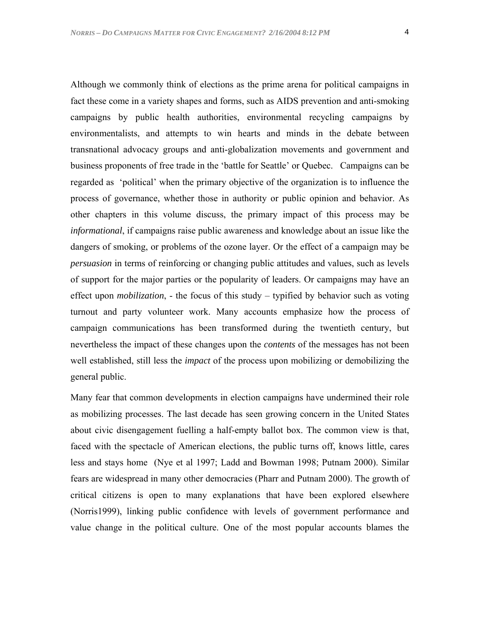Although we commonly think of elections as the prime arena for political campaigns in fact these come in a variety shapes and forms, such as AIDS prevention and anti-smoking campaigns by public health authorities, environmental recycling campaigns by environmentalists, and attempts to win hearts and minds in the debate between transnational advocacy groups and anti-globalization movements and government and business proponents of free trade in the 'battle for Seattle' or Quebec. Campaigns can be regarded as 'political' when the primary objective of the organization is to influence the process of governance, whether those in authority or public opinion and behavior. As other chapters in this volume discuss, the primary impact of this process may be *informational*, if campaigns raise public awareness and knowledge about an issue like the dangers of smoking, or problems of the ozone layer. Or the effect of a campaign may be *persuasion* in terms of reinforcing or changing public attitudes and values, such as levels of support for the major parties or the popularity of leaders. Or campaigns may have an effect upon *mobilization*, - the focus of this study – typified by behavior such as voting turnout and party volunteer work. Many accounts emphasize how the process of campaign communications has been transformed during the twentieth century, but nevertheless the impact of these changes upon the *contents* of the messages has not been well established, still less the *impact* of the process upon mobilizing or demobilizing the general public.

Many fear that common developments in election campaigns have undermined their role as mobilizing processes. The last decade has seen growing concern in the United States about civic disengagement fuelling a half-empty ballot box. The common view is that, faced with the spectacle of American elections, the public turns off, knows little, cares less and stays home (Nye et al 1997; Ladd and Bowman 1998; Putnam 2000). Similar fears are widespread in many other democracies (Pharr and Putnam 2000). The growth of critical citizens is open to many explanations that have been explored elsewhere (Norris1999), linking public confidence with levels of government performance and value change in the political culture. One of the most popular accounts blames the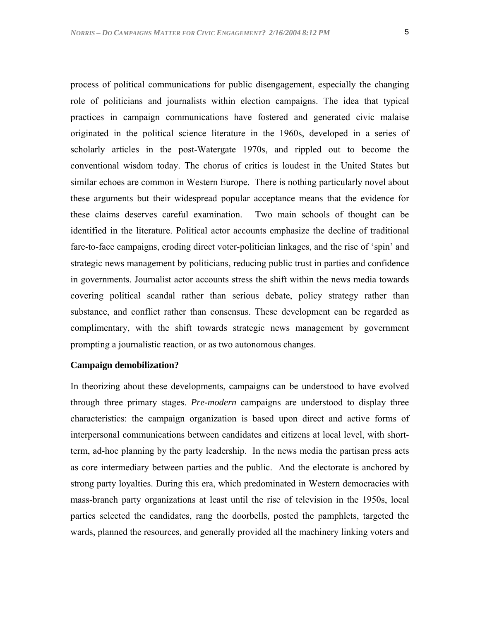process of political communications for public disengagement, especially the changing role of politicians and journalists within election campaigns. The idea that typical practices in campaign communications have fostered and generated civic malaise originated in the political science literature in the 1960s, developed in a series of scholarly articles in the post-Watergate 1970s, and rippled out to become the conventional wisdom today. The chorus of critics is loudest in the United States but similar echoes are common in Western Europe. There is nothing particularly novel about these arguments but their widespread popular acceptance means that the evidence for these claims deserves careful examination. Two main schools of thought can be identified in the literature. Political actor accounts emphasize the decline of traditional fare-to-face campaigns, eroding direct voter-politician linkages, and the rise of 'spin' and strategic news management by politicians, reducing public trust in parties and confidence in governments. Journalist actor accounts stress the shift within the news media towards covering political scandal rather than serious debate, policy strategy rather than substance, and conflict rather than consensus. These development can be regarded as complimentary, with the shift towards strategic news management by government prompting a journalistic reaction, or as two autonomous changes.

#### **Campaign demobilization?**

In theorizing about these developments, campaigns can be understood to have evolved through three primary stages. *Pre-modern* campaigns are understood to display three characteristics: the campaign organization is based upon direct and active forms of interpersonal communications between candidates and citizens at local level, with shortterm, ad-hoc planning by the party leadership. In the news media the partisan press acts as core intermediary between parties and the public. And the electorate is anchored by strong party loyalties. During this era, which predominated in Western democracies with mass-branch party organizations at least until the rise of television in the 1950s, local parties selected the candidates, rang the doorbells, posted the pamphlets, targeted the wards, planned the resources, and generally provided all the machinery linking voters and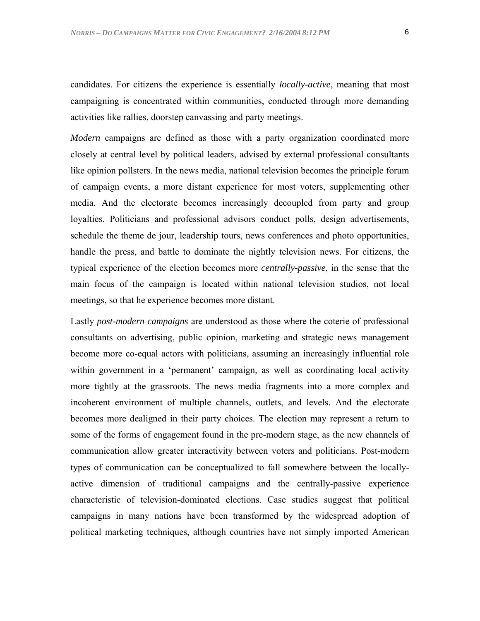candidates. For citizens the experience is essentially *locally-active*, meaning that most campaigning is concentrated within communities, conducted through more demanding activities like rallies, doorstep canvassing and party meetings.

*Modern* campaigns are defined as those with a party organization coordinated more closely at central level by political leaders, advised by external professional consultants like opinion pollsters. In the news media, national television becomes the principle forum of campaign events, a more distant experience for most voters, supplementing other media. And the electorate becomes increasingly decoupled from party and group loyalties. Politicians and professional advisors conduct polls, design advertisements, schedule the theme de jour, leadership tours, news conferences and photo opportunities, handle the press, and battle to dominate the nightly television news. For citizens, the typical experience of the election becomes more *centrally-passive*, in the sense that the main focus of the campaign is located within national television studios, not local meetings, so that he experience becomes more distant.

Lastly *post-modern campaigns* are understood as those where the coterie of professional consultants on advertising, public opinion, marketing and strategic news management become more co-equal actors with politicians, assuming an increasingly influential role within government in a 'permanent' campaign, as well as coordinating local activity more tightly at the grassroots. The news media fragments into a more complex and incoherent environment of multiple channels, outlets, and levels. And the electorate becomes more dealigned in their party choices. The election may represent a return to some of the forms of engagement found in the pre-modern stage, as the new channels of communication allow greater interactivity between voters and politicians. Post-modern types of communication can be conceptualized to fall somewhere between the locallyactive dimension of traditional campaigns and the centrally-passive experience characteristic of television-dominated elections. Case studies suggest that political campaigns in many nations have been transformed by the widespread adoption of political marketing techniques, although countries have not simply imported American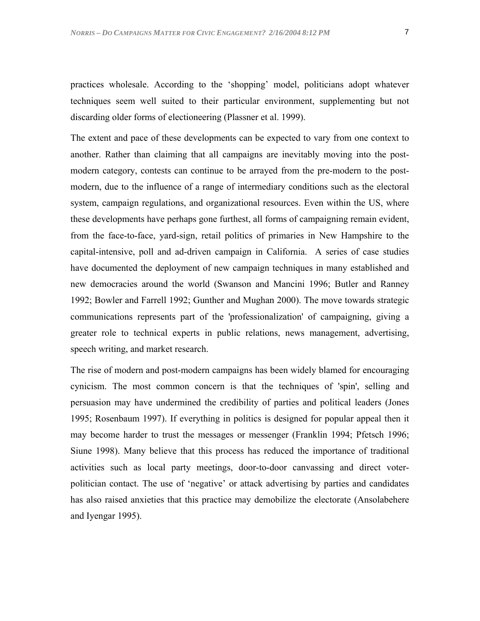practices wholesale. According to the ëshoppingí model, politicians adopt whatever techniques seem well suited to their particular environment, supplementing but not discarding older forms of electioneering (Plassner et al. 1999).

The extent and pace of these developments can be expected to vary from one context to another. Rather than claiming that all campaigns are inevitably moving into the postmodern category, contests can continue to be arrayed from the pre-modern to the postmodern, due to the influence of a range of intermediary conditions such as the electoral system, campaign regulations, and organizational resources. Even within the US, where these developments have perhaps gone furthest, all forms of campaigning remain evident, from the face-to-face, yard-sign, retail politics of primaries in New Hampshire to the capital-intensive, poll and ad-driven campaign in California. A series of case studies have documented the deployment of new campaign techniques in many established and new democracies around the world (Swanson and Mancini 1996; Butler and Ranney 1992; Bowler and Farrell 1992; Gunther and Mughan 2000). The move towards strategic communications represents part of the 'professionalization' of campaigning, giving a greater role to technical experts in public relations, news management, advertising, speech writing, and market research.

The rise of modern and post-modern campaigns has been widely blamed for encouraging cynicism. The most common concern is that the techniques of 'spin', selling and persuasion may have undermined the credibility of parties and political leaders (Jones 1995; Rosenbaum 1997). If everything in politics is designed for popular appeal then it may become harder to trust the messages or messenger (Franklin 1994; Pfetsch 1996; Siune 1998). Many believe that this process has reduced the importance of traditional activities such as local party meetings, door-to-door canvassing and direct voterpolitician contact. The use of 'negative' or attack advertising by parties and candidates has also raised anxieties that this practice may demobilize the electorate (Ansolabehere and Iyengar 1995).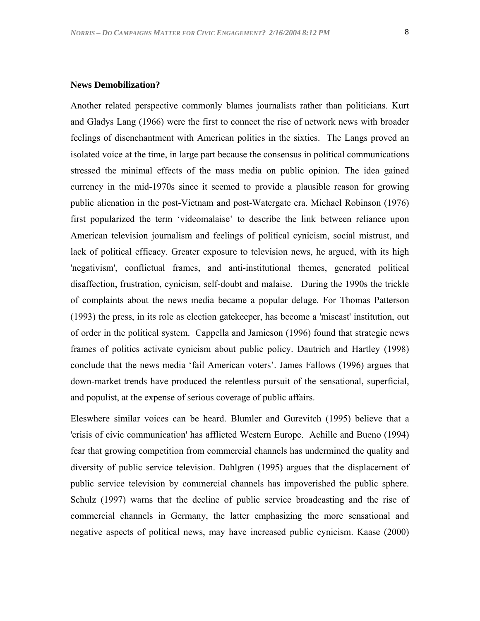#### **News Demobilization?**

Another related perspective commonly blames journalists rather than politicians. Kurt and Gladys Lang (1966) were the first to connect the rise of network news with broader feelings of disenchantment with American politics in the sixties. The Langs proved an isolated voice at the time, in large part because the consensus in political communications stressed the minimal effects of the mass media on public opinion. The idea gained currency in the mid-1970s since it seemed to provide a plausible reason for growing public alienation in the post-Vietnam and post-Watergate era. Michael Robinson (1976) first popularized the term 'videomalaise' to describe the link between reliance upon American television journalism and feelings of political cynicism, social mistrust, and lack of political efficacy. Greater exposure to television news, he argued, with its high 'negativism', conflictual frames, and anti-institutional themes, generated political disaffection, frustration, cynicism, self-doubt and malaise. During the 1990s the trickle of complaints about the news media became a popular deluge. For Thomas Patterson (1993) the press, in its role as election gatekeeper, has become a 'miscast' institution, out of order in the political system. Cappella and Jamieson (1996) found that strategic news frames of politics activate cynicism about public policy. Dautrich and Hartley (1998) conclude that the news media 'fail American voters'. James Fallows (1996) argues that down-market trends have produced the relentless pursuit of the sensational, superficial, and populist, at the expense of serious coverage of public affairs.

Eleswhere similar voices can be heard. Blumler and Gurevitch (1995) believe that a 'crisis of civic communication' has afflicted Western Europe. Achille and Bueno (1994) fear that growing competition from commercial channels has undermined the quality and diversity of public service television. Dahlgren (1995) argues that the displacement of public service television by commercial channels has impoverished the public sphere. Schulz (1997) warns that the decline of public service broadcasting and the rise of commercial channels in Germany, the latter emphasizing the more sensational and negative aspects of political news, may have increased public cynicism. Kaase (2000)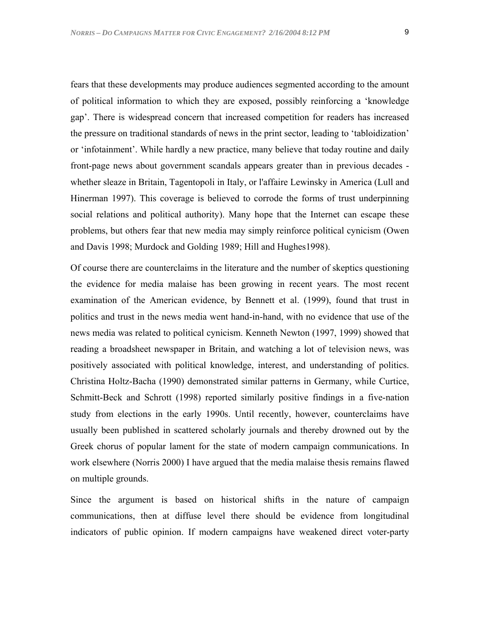fears that these developments may produce audiences segmented according to the amount of political information to which they are exposed, possibly reinforcing a ëknowledge gap'. There is widespread concern that increased competition for readers has increased the pressure on traditional standards of news in the print sector, leading to 'tabloidization' or 'infotainment'. While hardly a new practice, many believe that today routine and daily front-page news about government scandals appears greater than in previous decades whether sleaze in Britain, Tagentopoli in Italy, or l'affaire Lewinsky in America (Lull and Hinerman 1997). This coverage is believed to corrode the forms of trust underpinning social relations and political authority). Many hope that the Internet can escape these problems, but others fear that new media may simply reinforce political cynicism (Owen and Davis 1998; Murdock and Golding 1989; Hill and Hughes1998).

Of course there are counterclaims in the literature and the number of skeptics questioning the evidence for media malaise has been growing in recent years. The most recent examination of the American evidence, by Bennett et al. (1999), found that trust in politics and trust in the news media went hand-in-hand, with no evidence that use of the news media was related to political cynicism. Kenneth Newton (1997, 1999) showed that reading a broadsheet newspaper in Britain, and watching a lot of television news, was positively associated with political knowledge, interest, and understanding of politics. Christina Holtz-Bacha (1990) demonstrated similar patterns in Germany, while Curtice, Schmitt-Beck and Schrott (1998) reported similarly positive findings in a five-nation study from elections in the early 1990s. Until recently, however, counterclaims have usually been published in scattered scholarly journals and thereby drowned out by the Greek chorus of popular lament for the state of modern campaign communications. In work elsewhere (Norris 2000) I have argued that the media malaise thesis remains flawed on multiple grounds.

Since the argument is based on historical shifts in the nature of campaign communications, then at diffuse level there should be evidence from longitudinal indicators of public opinion. If modern campaigns have weakened direct voter-party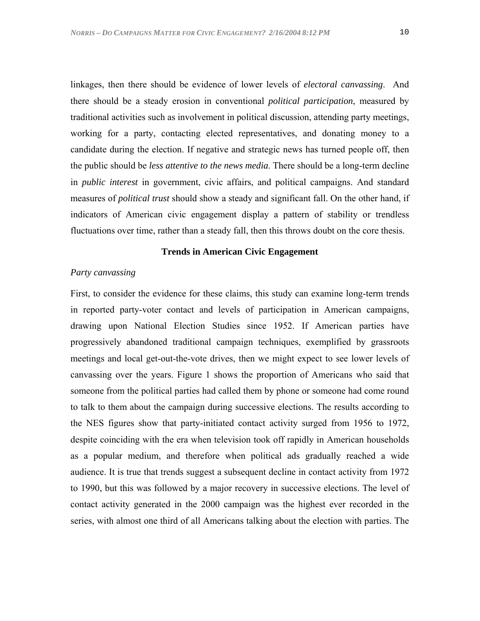linkages, then there should be evidence of lower levels of *electoral canvassing*. And there should be a steady erosion in conventional *political participation*, measured by traditional activities such as involvement in political discussion, attending party meetings, working for a party, contacting elected representatives, and donating money to a candidate during the election. If negative and strategic news has turned people off, then the public should be *less attentive to the news media*. There should be a long-term decline in *public interest* in government, civic affairs, and political campaigns. And standard measures of *political trust* should show a steady and significant fall. On the other hand, if indicators of American civic engagement display a pattern of stability or trendless fluctuations over time, rather than a steady fall, then this throws doubt on the core thesis.

# **Trends in American Civic Engagement**

## *Party canvassing*

First, to consider the evidence for these claims, this study can examine long-term trends in reported party-voter contact and levels of participation in American campaigns, drawing upon National Election Studies since 1952. If American parties have progressively abandoned traditional campaign techniques, exemplified by grassroots meetings and local get-out-the-vote drives, then we might expect to see lower levels of canvassing over the years. Figure 1 shows the proportion of Americans who said that someone from the political parties had called them by phone or someone had come round to talk to them about the campaign during successive elections. The results according to the NES figures show that party-initiated contact activity surged from 1956 to 1972, despite coinciding with the era when television took off rapidly in American households as a popular medium, and therefore when political ads gradually reached a wide audience. It is true that trends suggest a subsequent decline in contact activity from 1972 to 1990, but this was followed by a major recovery in successive elections. The level of contact activity generated in the 2000 campaign was the highest ever recorded in the series, with almost one third of all Americans talking about the election with parties. The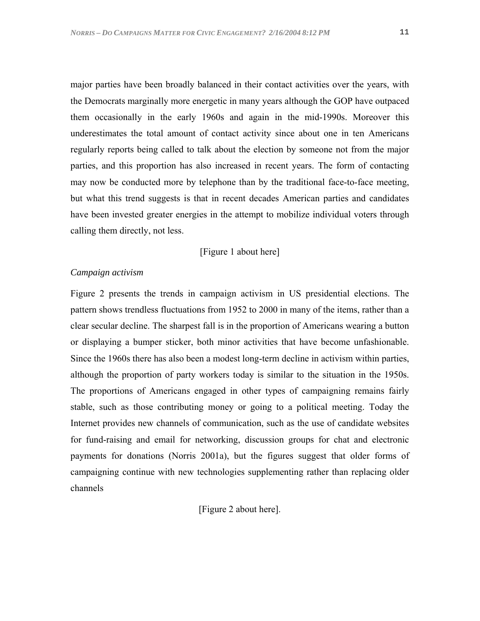major parties have been broadly balanced in their contact activities over the years, with the Democrats marginally more energetic in many years although the GOP have outpaced them occasionally in the early 1960s and again in the mid-1990s. Moreover this underestimates the total amount of contact activity since about one in ten Americans regularly reports being called to talk about the election by someone not from the major parties, and this proportion has also increased in recent years. The form of contacting may now be conducted more by telephone than by the traditional face-to-face meeting, but what this trend suggests is that in recent decades American parties and candidates have been invested greater energies in the attempt to mobilize individual voters through calling them directly, not less.

## [Figure 1 about here]

## *Campaign activism*

Figure 2 presents the trends in campaign activism in US presidential elections. The pattern shows trendless fluctuations from 1952 to 2000 in many of the items, rather than a clear secular decline. The sharpest fall is in the proportion of Americans wearing a button or displaying a bumper sticker, both minor activities that have become unfashionable. Since the 1960s there has also been a modest long-term decline in activism within parties, although the proportion of party workers today is similar to the situation in the 1950s. The proportions of Americans engaged in other types of campaigning remains fairly stable, such as those contributing money or going to a political meeting. Today the Internet provides new channels of communication, such as the use of candidate websites for fund-raising and email for networking, discussion groups for chat and electronic payments for donations (Norris 2001a), but the figures suggest that older forms of campaigning continue with new technologies supplementing rather than replacing older channels

[Figure 2 about here].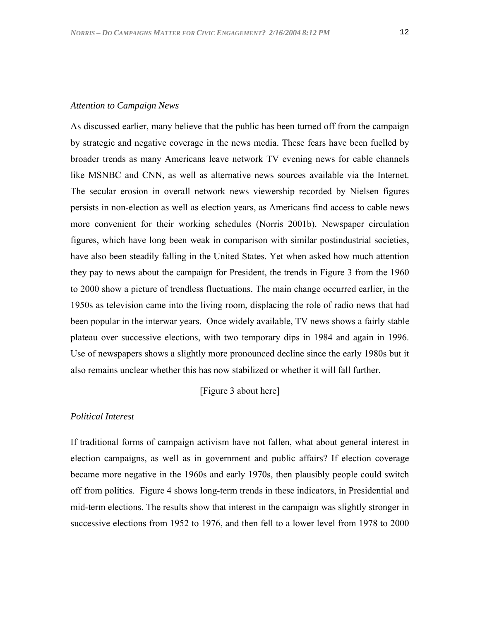As discussed earlier, many believe that the public has been turned off from the campaign by strategic and negative coverage in the news media. These fears have been fuelled by broader trends as many Americans leave network TV evening news for cable channels like MSNBC and CNN, as well as alternative news sources available via the Internet. The secular erosion in overall network news viewership recorded by Nielsen figures persists in non-election as well as election years, as Americans find access to cable news more convenient for their working schedules (Norris 2001b). Newspaper circulation figures, which have long been weak in comparison with similar postindustrial societies, have also been steadily falling in the United States. Yet when asked how much attention they pay to news about the campaign for President, the trends in Figure 3 from the 1960 to 2000 show a picture of trendless fluctuations. The main change occurred earlier, in the 1950s as television came into the living room, displacing the role of radio news that had been popular in the interwar years. Once widely available, TV news shows a fairly stable plateau over successive elections, with two temporary dips in 1984 and again in 1996. Use of newspapers shows a slightly more pronounced decline since the early 1980s but it also remains unclear whether this has now stabilized or whether it will fall further.

[Figure 3 about here]

# *Political Interest*

If traditional forms of campaign activism have not fallen, what about general interest in election campaigns, as well as in government and public affairs? If election coverage became more negative in the 1960s and early 1970s, then plausibly people could switch off from politics. Figure 4 shows long-term trends in these indicators, in Presidential and mid-term elections. The results show that interest in the campaign was slightly stronger in successive elections from 1952 to 1976, and then fell to a lower level from 1978 to 2000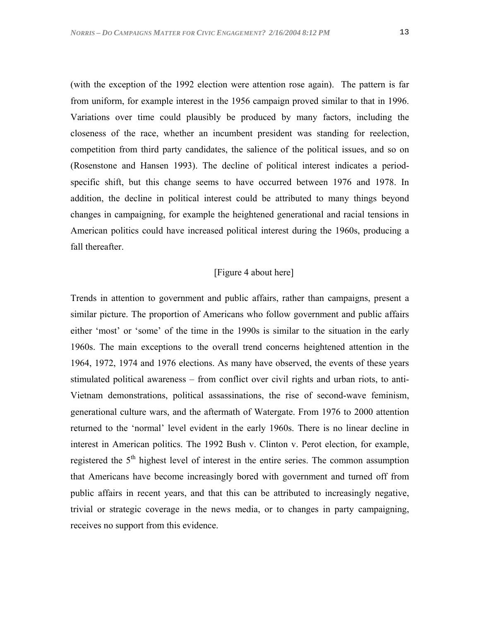(with the exception of the 1992 election were attention rose again). The pattern is far from uniform, for example interest in the 1956 campaign proved similar to that in 1996. Variations over time could plausibly be produced by many factors, including the closeness of the race, whether an incumbent president was standing for reelection, competition from third party candidates, the salience of the political issues, and so on (Rosenstone and Hansen 1993). The decline of political interest indicates a periodspecific shift, but this change seems to have occurred between 1976 and 1978. In addition, the decline in political interest could be attributed to many things beyond changes in campaigning, for example the heightened generational and racial tensions in American politics could have increased political interest during the 1960s, producing a fall thereafter.

## [Figure 4 about here]

Trends in attention to government and public affairs, rather than campaigns, present a similar picture. The proportion of Americans who follow government and public affairs either 'most' or 'some' of the time in the 1990s is similar to the situation in the early 1960s. The main exceptions to the overall trend concerns heightened attention in the 1964, 1972, 1974 and 1976 elections. As many have observed, the events of these years stimulated political awareness – from conflict over civil rights and urban riots, to anti-Vietnam demonstrations, political assassinations, the rise of second-wave feminism, generational culture wars, and the aftermath of Watergate. From 1976 to 2000 attention returned to the 'normal' level evident in the early 1960s. There is no linear decline in interest in American politics. The 1992 Bush v. Clinton v. Perot election, for example, registered the 5th highest level of interest in the entire series. The common assumption that Americans have become increasingly bored with government and turned off from public affairs in recent years, and that this can be attributed to increasingly negative, trivial or strategic coverage in the news media, or to changes in party campaigning, receives no support from this evidence.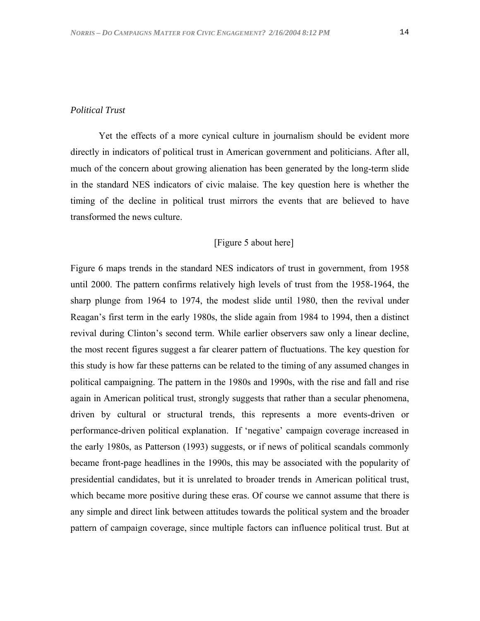#### *Political Trust*

Yet the effects of a more cynical culture in journalism should be evident more directly in indicators of political trust in American government and politicians. After all, much of the concern about growing alienation has been generated by the long-term slide in the standard NES indicators of civic malaise. The key question here is whether the timing of the decline in political trust mirrors the events that are believed to have transformed the news culture.

# [Figure 5 about here]

Figure 6 maps trends in the standard NES indicators of trust in government, from 1958 until 2000. The pattern confirms relatively high levels of trust from the 1958-1964, the sharp plunge from 1964 to 1974, the modest slide until 1980, then the revival under Reagan's first term in the early 1980s, the slide again from 1984 to 1994, then a distinct revival during Clinton's second term. While earlier observers saw only a linear decline, the most recent figures suggest a far clearer pattern of fluctuations. The key question for this study is how far these patterns can be related to the timing of any assumed changes in political campaigning. The pattern in the 1980s and 1990s, with the rise and fall and rise again in American political trust, strongly suggests that rather than a secular phenomena, driven by cultural or structural trends, this represents a more events-driven or performance-driven political explanation. If 'negative' campaign coverage increased in the early 1980s, as Patterson (1993) suggests, or if news of political scandals commonly became front-page headlines in the 1990s, this may be associated with the popularity of presidential candidates, but it is unrelated to broader trends in American political trust, which became more positive during these eras. Of course we cannot assume that there is any simple and direct link between attitudes towards the political system and the broader pattern of campaign coverage, since multiple factors can influence political trust. But at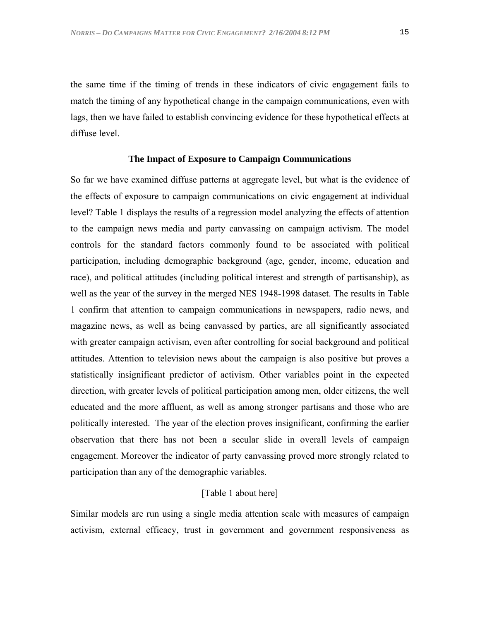the same time if the timing of trends in these indicators of civic engagement fails to match the timing of any hypothetical change in the campaign communications, even with lags, then we have failed to establish convincing evidence for these hypothetical effects at diffuse level.

#### **The Impact of Exposure to Campaign Communications**

So far we have examined diffuse patterns at aggregate level, but what is the evidence of the effects of exposure to campaign communications on civic engagement at individual level? Table 1 displays the results of a regression model analyzing the effects of attention to the campaign news media and party canvassing on campaign activism. The model controls for the standard factors commonly found to be associated with political participation, including demographic background (age, gender, income, education and race), and political attitudes (including political interest and strength of partisanship), as well as the year of the survey in the merged NES 1948-1998 dataset. The results in Table 1 confirm that attention to campaign communications in newspapers, radio news, and magazine news, as well as being canvassed by parties, are all significantly associated with greater campaign activism, even after controlling for social background and political attitudes. Attention to television news about the campaign is also positive but proves a statistically insignificant predictor of activism. Other variables point in the expected direction, with greater levels of political participation among men, older citizens, the well educated and the more affluent, as well as among stronger partisans and those who are politically interested. The year of the election proves insignificant, confirming the earlier observation that there has not been a secular slide in overall levels of campaign engagement. Moreover the indicator of party canvassing proved more strongly related to participation than any of the demographic variables.

# [Table 1 about here]

Similar models are run using a single media attention scale with measures of campaign activism, external efficacy, trust in government and government responsiveness as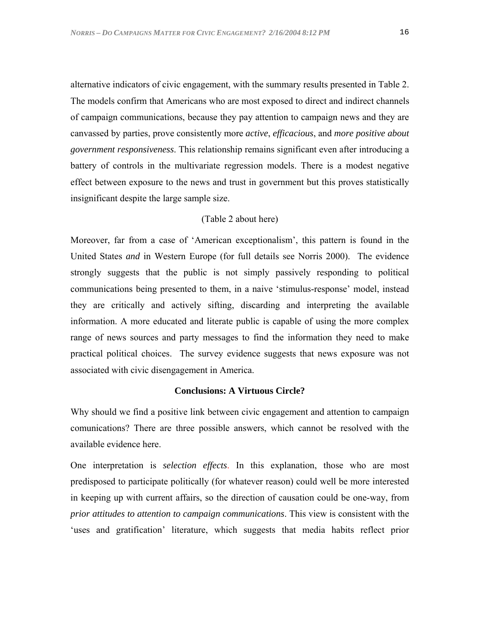alternative indicators of civic engagement, with the summary results presented in Table 2. The models confirm that Americans who are most exposed to direct and indirect channels of campaign communications, because they pay attention to campaign news and they are canvassed by parties, prove consistently more *active*, *efficacious*, and *more positive about government responsiveness*. This relationship remains significant even after introducing a battery of controls in the multivariate regression models. There is a modest negative effect between exposure to the news and trust in government but this proves statistically insignificant despite the large sample size.

# (Table 2 about here)

Moreover, far from a case of 'American exceptionalism', this pattern is found in the United States *and* in Western Europe (for full details see Norris 2000). The evidence strongly suggests that the public is not simply passively responding to political communications being presented to them, in a naive 'stimulus-response' model, instead they are critically and actively sifting, discarding and interpreting the available information. A more educated and literate public is capable of using the more complex range of news sources and party messages to find the information they need to make practical political choices. The survey evidence suggests that news exposure was not associated with civic disengagement in America.

#### **Conclusions: A Virtuous Circle?**

Why should we find a positive link between civic engagement and attention to campaign comunications? There are three possible answers, which cannot be resolved with the available evidence here.

One interpretation is *selection effects*. In this explanation, those who are most predisposed to participate politically (for whatever reason) could well be more interested in keeping up with current affairs, so the direction of causation could be one-way, from *prior attitudes to attention to campaign communications*. This view is consistent with the 'uses and gratification' literature, which suggests that media habits reflect prior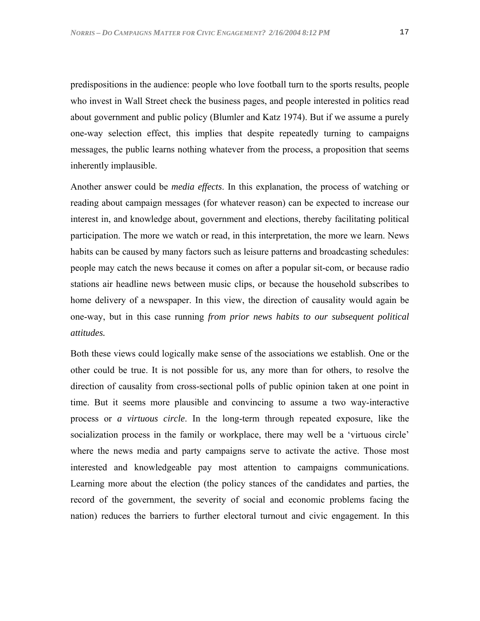predispositions in the audience: people who love football turn to the sports results, people who invest in Wall Street check the business pages, and people interested in politics read about government and public policy (Blumler and Katz 1974). But if we assume a purely one-way selection effect, this implies that despite repeatedly turning to campaigns messages, the public learns nothing whatever from the process, a proposition that seems inherently implausible.

Another answer could be *media effects*. In this explanation, the process of watching or reading about campaign messages (for whatever reason) can be expected to increase our interest in, and knowledge about, government and elections, thereby facilitating political participation. The more we watch or read, in this interpretation, the more we learn. News habits can be caused by many factors such as leisure patterns and broadcasting schedules: people may catch the news because it comes on after a popular sit-com, or because radio stations air headline news between music clips, or because the household subscribes to home delivery of a newspaper. In this view, the direction of causality would again be one-way, but in this case running *from prior news habits to our subsequent political attitudes.*

Both these views could logically make sense of the associations we establish. One or the other could be true. It is not possible for us, any more than for others, to resolve the direction of causality from cross-sectional polls of public opinion taken at one point in time. But it seems more plausible and convincing to assume a two way-interactive process or *a virtuous circle*. In the long-term through repeated exposure, like the socialization process in the family or workplace, there may well be a 'virtuous circle' where the news media and party campaigns serve to activate the active. Those most interested and knowledgeable pay most attention to campaigns communications. Learning more about the election (the policy stances of the candidates and parties, the record of the government, the severity of social and economic problems facing the nation) reduces the barriers to further electoral turnout and civic engagement. In this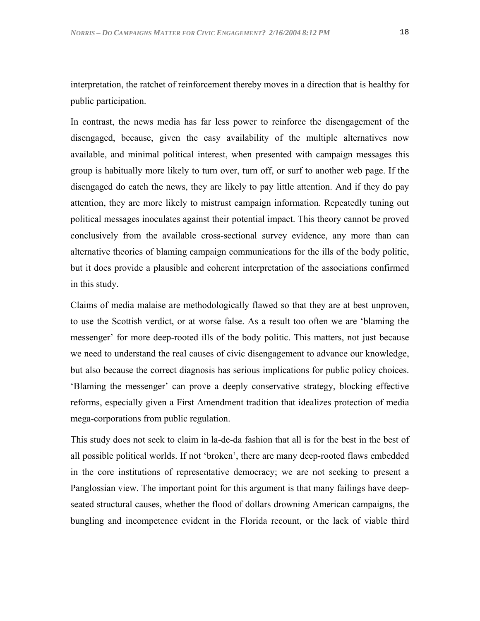interpretation, the ratchet of reinforcement thereby moves in a direction that is healthy for public participation.

In contrast, the news media has far less power to reinforce the disengagement of the disengaged, because, given the easy availability of the multiple alternatives now available, and minimal political interest, when presented with campaign messages this group is habitually more likely to turn over, turn off, or surf to another web page. If the disengaged do catch the news, they are likely to pay little attention. And if they do pay attention, they are more likely to mistrust campaign information. Repeatedly tuning out political messages inoculates against their potential impact. This theory cannot be proved conclusively from the available cross-sectional survey evidence, any more than can alternative theories of blaming campaign communications for the ills of the body politic, but it does provide a plausible and coherent interpretation of the associations confirmed in this study.

Claims of media malaise are methodologically flawed so that they are at best unproven, to use the Scottish verdict, or at worse false. As a result too often we are ëblaming the messenger' for more deep-rooted ills of the body politic. This matters, not just because we need to understand the real causes of civic disengagement to advance our knowledge, but also because the correct diagnosis has serious implications for public policy choices. Elaming the messenger' can prove a deeply conservative strategy, blocking effective reforms, especially given a First Amendment tradition that idealizes protection of media mega-corporations from public regulation.

This study does not seek to claim in la-de-da fashion that all is for the best in the best of all possible political worlds. If not 'broken', there are many deep-rooted flaws embedded in the core institutions of representative democracy; we are not seeking to present a Panglossian view. The important point for this argument is that many failings have deepseated structural causes, whether the flood of dollars drowning American campaigns, the bungling and incompetence evident in the Florida recount, or the lack of viable third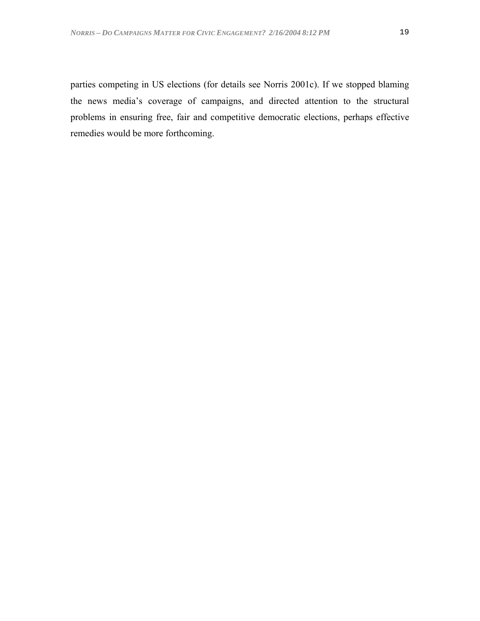parties competing in US elections (for details see Norris 2001c). If we stopped blaming the news mediaís coverage of campaigns, and directed attention to the structural problems in ensuring free, fair and competitive democratic elections, perhaps effective remedies would be more forthcoming.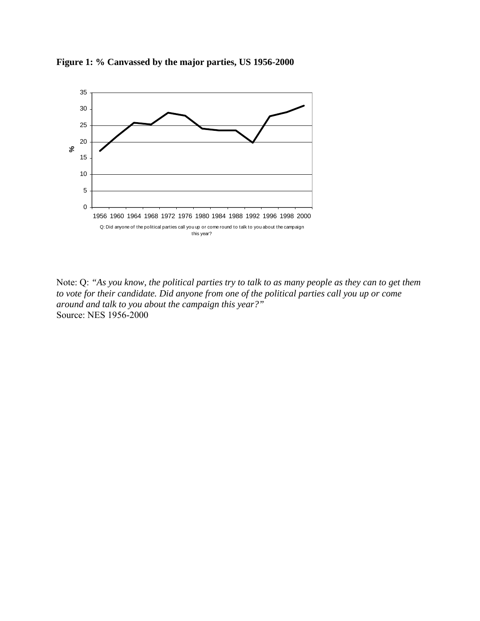



Note: Q: *"As you know, the political parties try to talk to as many people as they can to get them to vote for their candidate. Did anyone from one of the political parties call you up or come around and talk to you about the campaign this year?"* Source: NES 1956-2000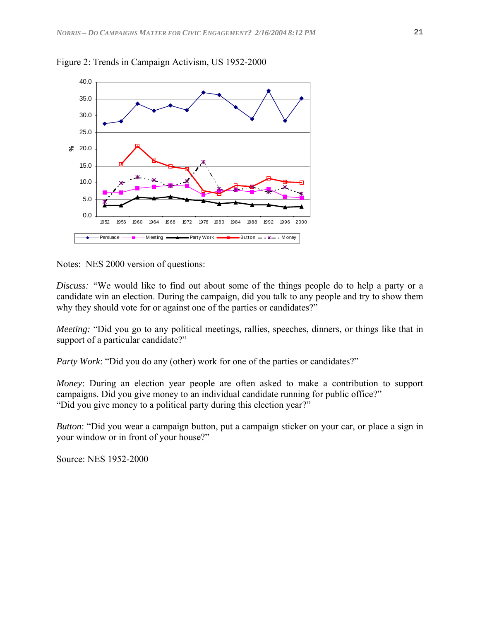

Figure 2: Trends in Campaign Activism, US 1952-2000

Notes: NES 2000 version of questions:

*Discuss: "*We would like to find out about some of the things people do to help a party or a candidate win an election. During the campaign, did you talk to any people and try to show them why they should vote for or against one of the parties or candidates?"

*Meeting:* "Did you go to any political meetings, rallies, speeches, dinners, or things like that in support of a particular candidate?"

*Party Work*: "Did you do any (other) work for one of the parties or candidates?"

*Money*: During an election year people are often asked to make a contribution to support campaigns. Did you give money to an individual candidate running for public office?" "Did you give money to a political party during this election year?"

*Button*: "Did you wear a campaign button, put a campaign sticker on your car, or place a sign in your window or in front of your house?"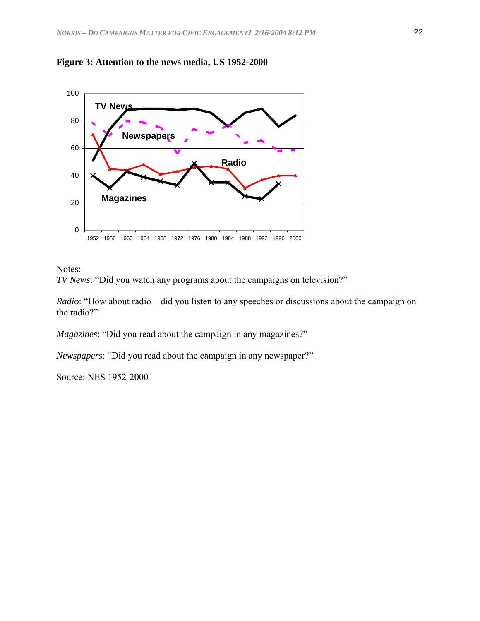





*Radio*: "How about radio – did you listen to any speeches or discussions about the campaign on the radio?"

*Magazines*: "Did you read about the campaign in any magazines?"

*Newspapers*: "Did you read about the campaign in any newspaper?"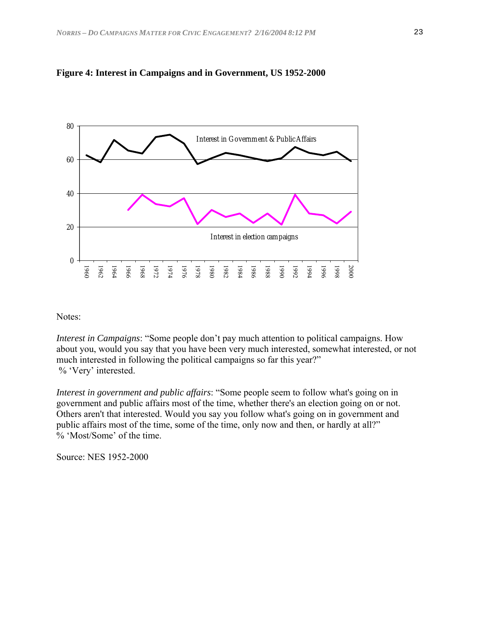



Notes:

*Interest in Campaigns*: "Some people don't pay much attention to political campaigns. How about you, would you say that you have been very much interested, somewhat interested, or not much interested in following the political campaigns so far this year?" % 'Very' interested.

*Interest in government and public affairs*: "Some people seem to follow what's going on in government and public affairs most of the time, whether there's an election going on or not. Others aren't that interested. Would you say you follow what's going on in government and public affairs most of the time, some of the time, only now and then, or hardly at all?" % 'Most/Some' of the time.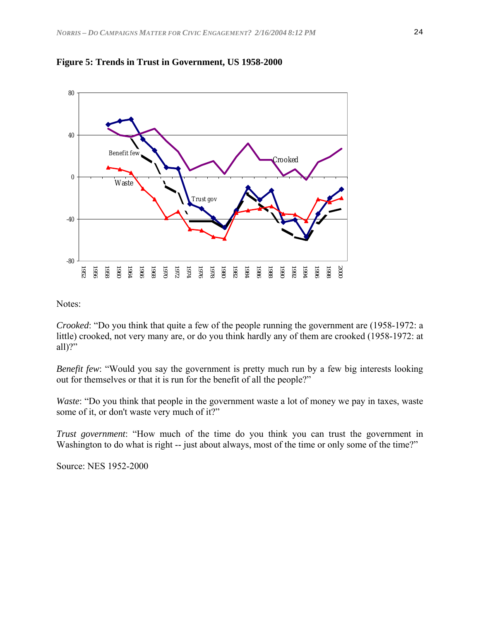



Notes:

*Crooked*: "Do you think that quite a few of the people running the government are (1958-1972: a little) crooked, not very many are, or do you think hardly any of them are crooked (1958-1972: at all $)$ ?"

*Benefit few*: "Would you say the government is pretty much run by a few big interests looking out for themselves or that it is run for the benefit of all the people?"

*Waste*: "Do you think that people in the government waste a lot of money we pay in taxes, waste some of it, or don't waste very much of it?"

*Trust government*: "How much of the time do you think you can trust the government in Washington to do what is right -- just about always, most of the time or only some of the time?"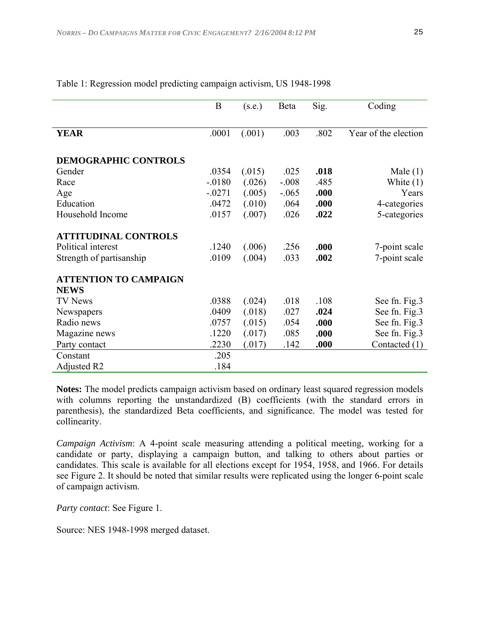|                              | B        | (s.e.) | Beta    | Sig. | Coding               |  |  |  |
|------------------------------|----------|--------|---------|------|----------------------|--|--|--|
|                              |          |        |         |      |                      |  |  |  |
| <b>YEAR</b>                  | .0001    | (.001) | .003    | .802 | Year of the election |  |  |  |
| <b>DEMOGRAPHIC CONTROLS</b>  |          |        |         |      |                      |  |  |  |
| Gender                       | .0354    | (.015) | .025    | .018 | Male $(1)$           |  |  |  |
| Race                         | $-0180$  | (.026) | $-.008$ | .485 | White $(1)$          |  |  |  |
| Age                          | $-.0271$ | (.005) | $-.065$ | .000 | Years                |  |  |  |
| Education                    | .0472    | (.010) | .064    | .000 | 4-categories         |  |  |  |
| Household Income             | .0157    | (.007) | .026    | .022 | 5-categories         |  |  |  |
| <b>ATTITUDINAL CONTROLS</b>  |          |        |         |      |                      |  |  |  |
| Political interest           | .1240    | (.006) | .256    | .000 | 7-point scale        |  |  |  |
| Strength of partisanship     | .0109    | (.004) | .033    | .002 | 7-point scale        |  |  |  |
| <b>ATTENTION TO CAMPAIGN</b> |          |        |         |      |                      |  |  |  |
| <b>NEWS</b>                  |          |        |         |      |                      |  |  |  |
| <b>TV News</b>               | .0388    | (.024) | .018    | .108 | See fn. Fig.3        |  |  |  |
| Newspapers                   | .0409    | (.018) | .027    | .024 | See fn. Fig.3        |  |  |  |
| Radio news                   | .0757    | (.015) | .054    | .000 | See fn. Fig.3        |  |  |  |
| Magazine news                | .1220    | (.017) | .085    | .000 | See fn. Fig.3        |  |  |  |
| Party contact                | .2230    | (.017) | .142    | .000 | Contacted (1)        |  |  |  |
| Constant                     | .205     |        |         |      |                      |  |  |  |
| Adjusted R2                  | .184     |        |         |      |                      |  |  |  |

# Table 1: Regression model predicting campaign activism, US 1948-1998

**Notes:** The model predicts campaign activism based on ordinary least squared regression models with columns reporting the unstandardized (B) coefficients (with the standard errors in parenthesis), the standardized Beta coefficients, and significance. The model was tested for collinearity.

*Campaign Activism*: A 4-point scale measuring attending a political meeting, working for a candidate or party, displaying a campaign button, and talking to others about parties or candidates. This scale is available for all elections except for 1954, 1958, and 1966. For details see Figure 2. It should be noted that similar results were replicated using the longer 6-point scale of campaign activism.

*Party contact*: See Figure 1.

Source: NES 1948-1998 merged dataset.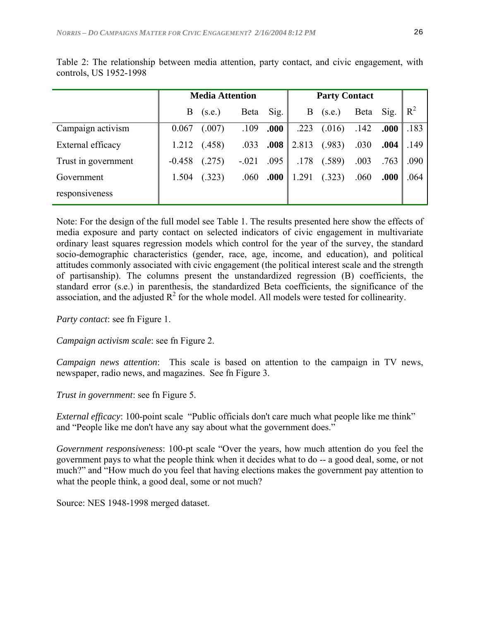|                     | <b>Media Attention</b> |        |         |      | <b>Party Contact</b> |        |      |      |       |
|---------------------|------------------------|--------|---------|------|----------------------|--------|------|------|-------|
|                     | B                      | (s.e.) | Beta    | Sig. | B                    | (s.e.) | Beta | Sig. | $R^2$ |
| Campaign activism   | 0.067                  | (.007) | .109    | .000 | .223                 | (.016) | .142 | .000 | .183  |
| External efficacy   | 1.212                  | (.458) | .033    | .008 | 2.813                | (.983) | .030 | .004 | .149  |
| Trust in government | $-0.458$               | (.275) | $-.021$ | .095 | .178                 | (.589) | .003 | .763 | .090  |
| Government          | 1.504                  | (.323) | .060    | .000 | .291                 | (.323) | .060 | .000 | .064  |
| responsiveness      |                        |        |         |      |                      |        |      |      |       |

Table 2: The relationship between media attention, party contact, and civic engagement, with controls, US 1952-1998

Note: For the design of the full model see Table 1. The results presented here show the effects of media exposure and party contact on selected indicators of civic engagement in multivariate ordinary least squares regression models which control for the year of the survey, the standard socio-demographic characteristics (gender, race, age, income, and education), and political attitudes commonly associated with civic engagement (the political interest scale and the strength of partisanship). The columns present the unstandardized regression (B) coefficients, the standard error (s.e.) in parenthesis, the standardized Beta coefficients, the significance of the association, and the adjusted  $R^2$  for the whole model. All models were tested for collinearity.

*Party contact*: see fn Figure 1.

*Campaign activism scale*: see fn Figure 2.

*Campaign news attention*: This scale is based on attention to the campaign in TV news, newspaper, radio news, and magazines. See fn Figure 3.

*Trust in government*: see fn Figure 5.

*External efficacy*: 100-point scale "Public officials don't care much what people like me think" and "People like me don't have any say about what the government does."

*Government responsiveness*: 100-pt scale "Over the years, how much attention do you feel the government pays to what the people think when it decides what to do -- a good deal, some, or not much?" and "How much do you feel that having elections makes the government pay attention to what the people think, a good deal, some or not much?

Source: NES 1948-1998 merged dataset.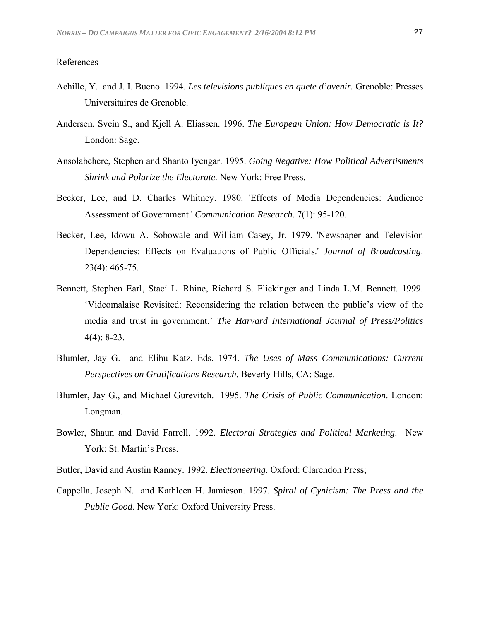#### References

- Achille, Y. and J. I. Bueno. 1994. *Les televisions publiques en quete d'avenir.* Grenoble: Presses Universitaires de Grenoble.
- Andersen, Svein S., and Kjell A. Eliassen. 1996. *The European Union: How Democratic is It?*  London: Sage.
- Ansolabehere, Stephen and Shanto Iyengar. 1995. *Going Negative: How Political Advertisments Shrink and Polarize the Electorate.* New York: Free Press.
- Becker, Lee, and D. Charles Whitney. 1980. 'Effects of Media Dependencies: Audience Assessment of Government.' *Communication Research*. 7(1): 95-120.
- Becker, Lee, Idowu A. Sobowale and William Casey, Jr. 1979. 'Newspaper and Television Dependencies: Effects on Evaluations of Public Officials.' *Journal of Broadcasting*. 23(4): 465-75.
- Bennett, Stephen Earl, Staci L. Rhine, Richard S. Flickinger and Linda L.M. Bennett. 1999. "Videomalaise Revisited: Reconsidering the relation between the public's view of the media and trust in government.' *The Harvard International Journal of Press/Politics* 4(4): 8-23.
- Blumler, Jay G. and Elihu Katz. Eds. 1974. *The Uses of Mass Communications: Current Perspectives on Gratifications Research.* Beverly Hills, CA: Sage.
- Blumler, Jay G., and Michael Gurevitch. 1995. *The Crisis of Public Communication*. London: Longman.
- Bowler, Shaun and David Farrell. 1992. *Electoral Strategies and Political Marketing*. New York: St. Martin's Press.
- Butler, David and Austin Ranney. 1992. *Electioneering*. Oxford: Clarendon Press;
- Cappella, Joseph N. and Kathleen H. Jamieson. 1997. *Spiral of Cynicism: The Press and the Public Good*. New York: Oxford University Press.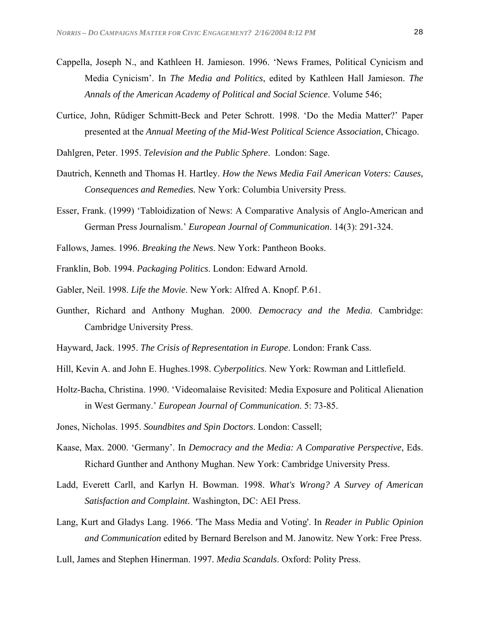- Cappella, Joseph N., and Kathleen H. Jamieson. 1996. 'News Frames, Political Cynicism and Media Cynicismí. In *The Media and Politics*, edited by Kathleen Hall Jamieson. *The Annals of the American Academy of Political and Social Science*. Volume 546;
- Curtice, John, Rüdiger Schmitt-Beck and Peter Schrott. 1998. 'Do the Media Matter?' Paper presented at the *Annual Meeting of the Mid-West Political Science Association*, Chicago.
- Dahlgren, Peter. 1995. *Television and the Public Sphere*. London: Sage.
- Dautrich, Kenneth and Thomas H. Hartley. *How the News Media Fail American Voters: Causes, Consequences and Remedies.* New York: Columbia University Press.
- Esser, Frank. (1999) 'Tabloidization of News: A Comparative Analysis of Anglo-American and German Press Journalism.í *European Journal of Communication*. 14(3): 291-324.
- Fallows, James. 1996. *Breaking the News*. New York: Pantheon Books.
- Franklin, Bob. 1994. *Packaging Politics*. London: Edward Arnold.
- Gabler, Neil. 1998. *Life the Movie*. New York: Alfred A. Knopf. P.61.
- Gunther, Richard and Anthony Mughan. 2000. *Democracy and the Media*. Cambridge: Cambridge University Press.
- Hayward, Jack. 1995. *The Crisis of Representation in Europe*. London: Frank Cass.
- Hill, Kevin A. and John E. Hughes.1998. *Cyberpolitics*. New York: Rowman and Littlefield.
- Holtz-Bacha, Christina. 1990. ëVideomalaise Revisited: Media Exposure and Political Alienation in West Germany.' *European Journal of Communication*. 5: 73-85.
- Jones, Nicholas. 1995. *Soundbites and Spin Doctors*. London: Cassell;
- Kaase, Max. 2000. 'Germany'. In *Democracy and the Media: A Comparative Perspective*, Eds. Richard Gunther and Anthony Mughan. New York: Cambridge University Press.
- Ladd, Everett Carll, and Karlyn H. Bowman. 1998. *What's Wrong? A Survey of American Satisfaction and Complaint*. Washington, DC: AEI Press.
- Lang, Kurt and Gladys Lang. 1966. 'The Mass Media and Voting'. In *Reader in Public Opinion and Communication* edited by Bernard Berelson and M. Janowitz. New York: Free Press.
- Lull, James and Stephen Hinerman. 1997. *Media Scandals*. Oxford: Polity Press.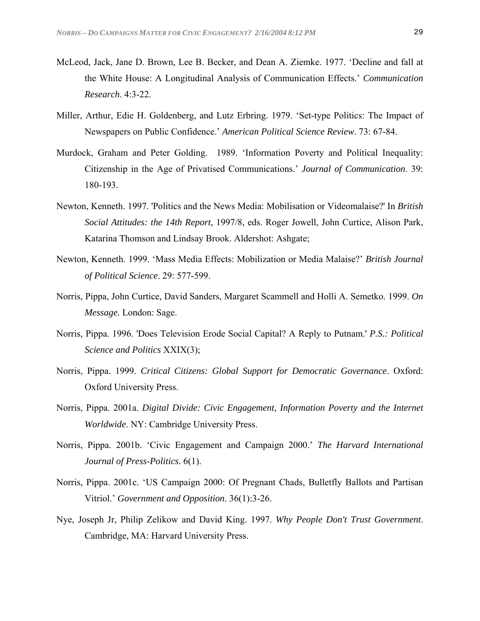- McLeod, Jack, Jane D. Brown, Lee B. Becker, and Dean A. Ziemke. 1977. 'Decline and fall at the White House: A Longitudinal Analysis of Communication Effects.<sup>†</sup> *Communication Research*. 4:3-22.
- Miller, Arthur, Edie H. Goldenberg, and Lutz Erbring. 1979. 'Set-type Politics: The Impact of Newspapers on Public Confidence.' *American Political Science Review.* 73: 67-84.
- Murdock, Graham and Peter Golding. 1989. 'Information Poverty and Political Inequality: Citizenship in the Age of Privatised Communications.' *Journal of Communication*. 39: 180-193.
- Newton, Kenneth. 1997. 'Politics and the News Media: Mobilisation or Videomalaise?' In *British Social Attitudes: the 14th Report*, 1997/8, eds. Roger Jowell, John Curtice, Alison Park, Katarina Thomson and Lindsay Brook. Aldershot: Ashgate;
- Newton, Kenneth. 1999. ëMass Media Effects: Mobilization or Media Malaise?í *British Journal of Political Science*. 29: 577-599.
- Norris, Pippa, John Curtice, David Sanders, Margaret Scammell and Holli A. Semetko. 1999. *On Message.* London: Sage.
- Norris, Pippa. 1996. 'Does Television Erode Social Capital? A Reply to Putnam.' *P.S.: Political Science and Politics* XXIX(3);
- Norris, Pippa. 1999. *Critical Citizens: Global Support for Democratic Governance*. Oxford: Oxford University Press.
- Norris, Pippa. 2001a. *Digital Divide: Civic Engagement, Information Poverty and the Internet Worldwide*. NY: Cambridge University Press.
- Norris, Pippa. 2001b. ëCivic Engagement and Campaign 2000.í *The Harvard International Journal of Press-Politics.* 6(1).
- Norris, Pippa. 2001c. ëUS Campaign 2000: Of Pregnant Chads, Bulletfly Ballots and Partisan Vitriol.' *Government and Opposition*. 36(1):3-26.
- Nye, Joseph Jr, Philip Zelikow and David King. 1997. *Why People Don't Trust Government*. Cambridge, MA: Harvard University Press.